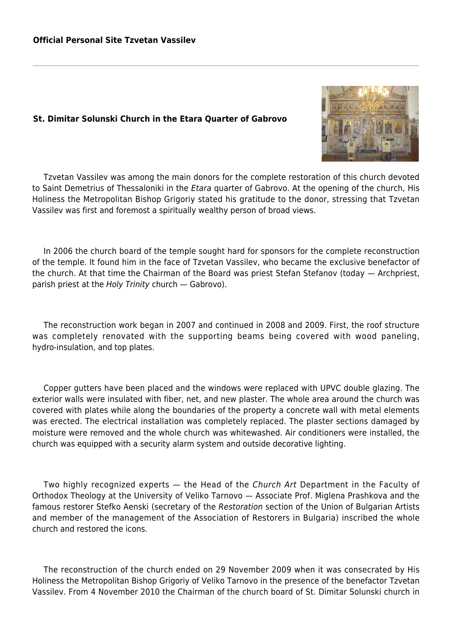## **St. Dimitar Solunski Church in the Etara Quarter of Gabrovo**



Tzvetan Vassilev was among the main donors for the complete restoration of this church devoted to Saint Demetrius of Thessaloniki in the Etara quarter of Gabrovo. At the opening of the church, His Holiness the Metropolitan Bishop Grigoriy stated his gratitude to the donor, stressing that Tzvetan Vassilev was first and foremost a spiritually wealthy person of broad views.

In 2006 the church board of the temple sought hard for sponsors for the complete reconstruction of the temple. It found him in the face of Tzvetan Vassilev, who became the exclusive benefactor of the church. At that time the Chairman of the Board was priest Stefan Stefanov (today — Archpriest, parish priest at the Holy Trinity church — Gabrovo).

The reconstruction work began in 2007 and continued in 2008 and 2009. First, the roof structure was completely renovated with the supporting beams being covered with wood paneling, hydro-insulation, and top plates.

Copper gutters have been placed and the windows were replaced with UPVC double glazing. The exterior walls were insulated with fiber, net, and new plaster. The whole area around the church was covered with plates while along the boundaries of the property a concrete wall with metal elements was erected. The electrical installation was completely replaced. The plaster sections damaged by moisture were removed and the whole church was whitewashed. Air conditioners were installed, the church was equipped with a security alarm system and outside decorative lighting.

Two highly recognized experts — the Head of the Church Art Department in the Faculty of Orthodox Theology at the University of Veliko Tarnovo — Associate Prof. Miglena Prashkova and the famous restorer Stefko Aenski (secretary of the Restoration section of the Union of Bulgarian Artists and member of the management of the Association of Restorers in Bulgaria) inscribed the whole church and restored the icons.

The reconstruction of the church ended on 29 November 2009 when it was consecrated by His Holiness the Metropolitan Bishop Grigoriy of Veliko Tarnovo in the presence of the benefactor Tzvetan Vassilev. From 4 November 2010 the Chairman of the church board of St. Dimitar Solunski church in